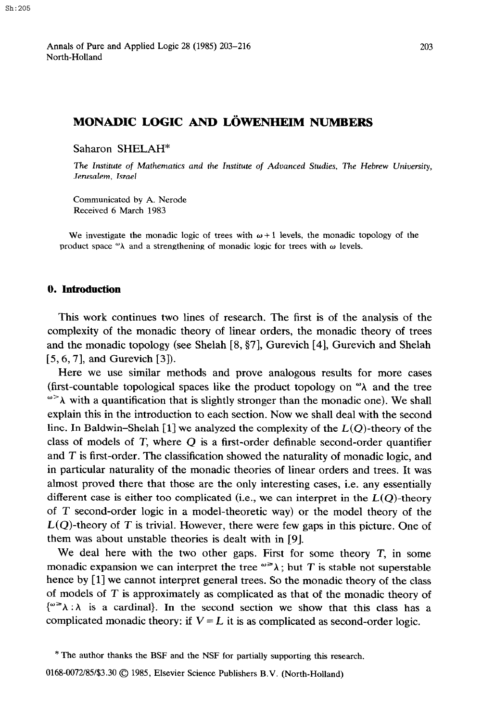# **MONADIC LOGIC AND LÖWENHEIM NUMBERS**

Saharon SHELAH"

The Institute of Mathematics and the Institute of Advanced Studies, The Hebrew *University, Jerusalem, Israel* 

Communicated by A. Nerode Received 6 March 1983

We investigate the monadic logic of trees with  $\omega + 1$  levels, the monadic topology of the product space " $\lambda$  and a strengthening of monadic logic for trees with  $\omega$  levels.

#### 0. Introduction

This work continues two lines of research. The first is of the analysis of the complexity of the monadic theory of linear orders, the monadic theory of trees and the monadic topology (see Shelah [8,§7], Gurevich [4], Gurevich and Shelah [5,6,7], and Gurevich [3]).

Here we use similar methods and prove analogous results for more cases (first-countable topological spaces like the product topology on  $\alpha$ ) and the tree  $\alpha > \lambda$  with a quantification that is slightly stronger than the monadic one). We shall explain this in the introduction to each section. Now we shall deal with the second line. In Baldwin-Shelah [1] we analyzed the complexity of the  $L(Q)$ -theory of the class of models of  $T$ , where  $Q$  is a first-order definable second-order quantifier and *T* is first-order. The classification showed the naturality of monadic logic, and in particular naturality of the monadic theories of linear orders and trees. It was almost proved there that those are the only interesting cases, i.e. any essentially different case is either too complicated (i.e., we can interpret in the  $L(Q)$ -theory of T second-order logic in a model-theoretic way) or the model theory of the  $L(Q)$ -theory of T is trivial. However, there were few gaps in this picture. One of them was about unstable theories is dealt with in [9].

We deal here with the two other gaps. First for some theory  $T$ , in some monadic expansion we can interpret the tree  $\omega \ge \lambda$ ; but T is stable not superstable hence by [1] we cannot interpret general trees. So the monadic theory of the class of models of T is approximately as complicated as that of the monadic theory of  $\{^{\omega} \geq \lambda : \lambda \geq a \}$  is a cardinal. In the second section we show that this class has a complicated monadic theory: if  $V = L$  it is as complicated as second-order logic.

<sup>\*</sup> The author thanks the BSF and the NSF for partially supporting this research.

<sup>0168-0072/85/\$3.30 0 1985,</sup> Elsevier Science Publishers B.V. (North-Holland)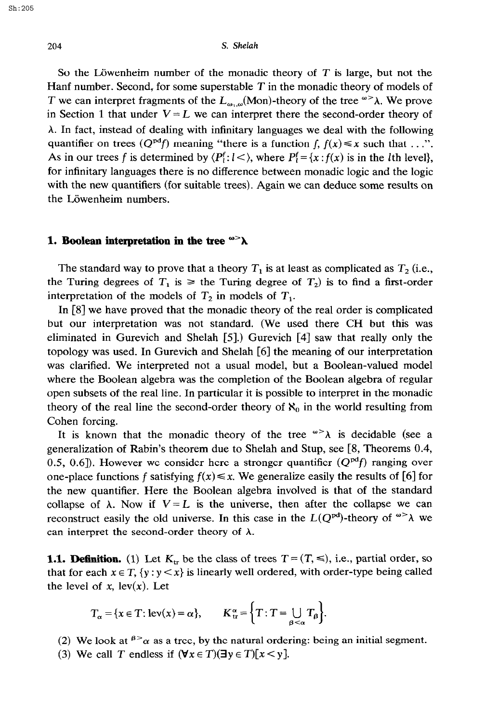#### **204 s. Shelah**

So the Löwenheim number of the monadic theory of  $T$  is large, but not the Hanf number. Second, for some superstable  $T$  in the monadic theory of models of T we can interpret fragments of the  $L_{\omega,\omega}(\text{Mon})$ -theory of the tree  $\omega > \lambda$ . We prove in Section 1 that under  $V = L$  we can interpret there the second-order theory of  $\lambda$ . In fact, instead of dealing with infinitary languages we deal with the following quantifier on trees  $(Q^{pdf})$  meaning "there is a function f,  $f(x) \le x$  such that ...". As in our trees f is determined by  $\langle P_i^f: l \leq \rangle$ , where  $P_i^f = \{x : f(x) \text{ is in the } l\text{th level}\}\,$ for infinitary languages there is no difference between monadic logic and the logic with the new quantifiers (for suitable trees). Again we can deduce some results on the Löwenheim numbers.

## **1. Boolean interpretation in the tree**  $\infty$  $\lambda$

The standard way to prove that a theory  $T_1$  is at least as complicated as  $T_2$  (i.e., the Turing degrees of  $T_1$  is  $\geq$  the Turing degree of  $T_2$ ) is to find a first-order interpretation of the models of  $T_2$  in models of  $T_1$ .

In [8] we have proved that the monadic theory of the real order is complicated but our interpretation was not standard. (We used there CH but this was eliminated in Gurevich and Shelah [5].) Gurevich [4] saw that really only the topology was used. In Gurevich and Shelah [6] the meaning of our interpretation was clarified. We interpreted not a usual model, but a Boolean-valued model where the Boolean algebra was the completion of the Boolean algebra of regular open subsets of the real line. In particular it is possible to interpret in the monadic theory of the real line the second-order theory of  $\aleph_0$  in the world resulting from Cohen forcing.

It is known that the monadic theory of the tree  $\omega > \lambda$  is decidable (see a generalization of Rabin's theorem due to Shelah and Stup, see [8, Theorems 0.4, 0.5, 0.6]). However we consider here a stronger quantifier  $(Q^{pd}f)$  ranging over one-place functions f satisfying  $f(x) \le x$ . We generalize easily the results of [6] for the new quantifier. Here the Boolean algebra involved is that of the standard collapse of  $\lambda$ . Now if  $V = L$  is the universe, then after the collapse we can reconstruct easily the old universe. In this case in the  $L(Q^{pd})$ -theory of  $\omega > \lambda$  we can interpret the second-order theory of  $\lambda$ .

**1.1. Definition.** (1) Let  $K_{tr}$  be the class of trees  $T = (T, \leq),$  i.e., partial order, so that for each  $x \in T$ ,  $\{y : y \leq x\}$  is linearly well ordered, with order-type being called the level of x,  $lev(x)$ . Let

$$
T_{\alpha} = \{x \in T : \text{lev}(x) = \alpha\}, \qquad K_{\text{tr}}^{\alpha} = \{T : T = \bigcup_{\beta < \alpha} T_{\beta}\}.
$$

(2) We look at  $\beta > \alpha$  as a tree, by the natural ordering: being an initial segment.

(3) We call *T* endless if  $(\forall x \in T)(\exists y \in T)[x \le y]$ .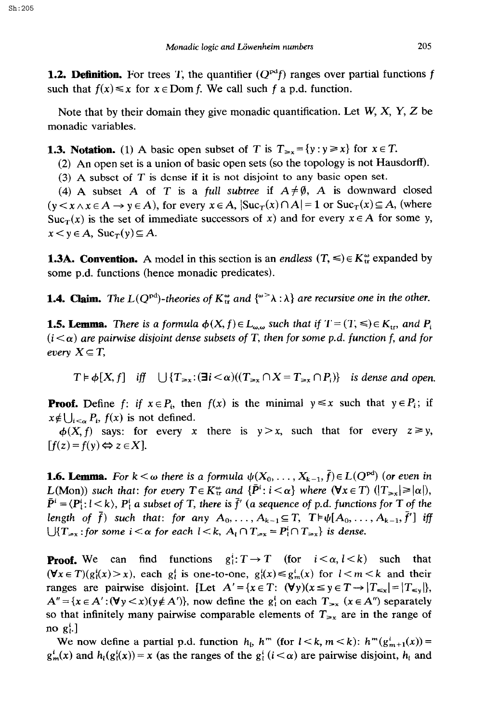**1.2. Definition.** For trees T, the quantifier  $(Q^{\text{pd}}f)$  ranges over partial functions f such that  $f(x) \le x$  for  $x \in \text{Dom } f$ . We call such f a p.d. function.

Note that by their domain they give monadic quantification. Let *W, X, Y, Z* be monadic variables.

**1.3. Notation.** (1) A basic open subset of *T* is  $T_{\geq x} = \{y : y \geq x\}$  for  $x \in T$ .

(2) An open set is a union of basic open sets (so the topology is not Hausdorff).

(3) A subset of T is dense if it is not disjoint to any basic open set.

(4) A subset A of T is a *full subtree* if  $A \neq \emptyset$ , A is downward closed  $(y \lt x \land x \in A \rightarrow y \in A)$ , for every  $x \in A$ ,  $|\text{Suc}_T(x) \cap A| = 1$  or  $\text{Suc}_T(x) \subseteq A$ , (where  $Suc_T(x)$  is the set of immediate successors of x) and for every  $x \in A$  for some y,  $x < y \in A$ , Suc<sub>r</sub>(y)  $\subseteq A$ .

**1.3A. Convention.** A model in this section is an endless  $(T, \leq) \in K_{\text{tr}}^{\omega}$  expanded by some p.d. functions (hence monadic predicates).

**1.4. Claim.** The  $L(Q^{pd})$ -theories of  $K^{\omega}_{tt}$  and  $\{^{\omega}>\lambda:\lambda\}$  are recursive one in the other.

**1.5. Lemma.** *There is a formula*  $\phi(X, f) \in L_{\omega,\omega}$  *such that if*  $T = (T, \leq) \in K_{\text{tr}}$ *, and*  $P_i$  $(i < \alpha)$  are pairwise disjoint dense subsets of T, then for some p.d. function f, and for *every*  $X \subseteq T$ ,

 $T \models \phi[X, f]$  *iff*  $\bigcup \{T_{\geq x}: (\exists i \leq \alpha)((T_{\geq x} \cap X = T_{\geq x} \cap P_i))\}$  *is dense and open.* 

**Proof.** Define *f*: if  $x \in P_i$ , then  $f(x)$  is the minimal  $y \leq x$  such that  $y \in P_i$ ; if  $x \notin \bigcup_{i \leq \alpha} P_i$ ,  $f(x)$  is not defined.

 $\phi(X, f)$  says: for every x there is  $y > x$ , such that for every  $z \ge y$ ,  $\lceil f(z) = f(y) \Leftrightarrow z \in X \rceil$ .

**1.6. Lemma.** *For*  $k < \omega$  *there is a formula*  $\psi(X_0, \ldots, X_{k-1}, \overline{f}) \in L(Q^{pd})$  (or even in  $L(\text{Mon})$  *such that: for every*  $T \in K^{\omega}_{\text{tr}}$  and  $\{\bar{P}^i : i \leq \alpha\}$  where  $(\forall x \in T)$   $(|T_{\gg x}| \geq |\alpha|)$ ,  $\bar{P}^i = \langle P_i^i: l \leq k \rangle$ ,  $P_i^i$  a subset of T, there is  $\bar{f}'$  (a sequence of p.d. functions for T of the *length of*  $\bar{f}$ ) such that: for any  $A_0, \ldots, A_{k-1} \subseteq T$ ,  $T \models \psi[A_0, \ldots, A_{k-1}, \bar{f}']$  *iff lJ{T<sub>inx</sub> : for some i* <  $\alpha$  *for each l* < *k,*  $A_i \cap T_{\geq x} = P_i^i \cap T_{\geq x}$ *} is dense.* 

**Proof.** We can find functions  $g_i^i: T \to T$  (for  $i < \alpha, l < k$ ) such that  $(\forall x \in T)(g_i^i(x) > x)$ , each  $g_i^i$  is one-to-one,  $g_i^i(x) \leq g_m^i(x)$  for  $1 < m < k$  and their ranges are pairwise disjoint. [Let  $A' = \{x \in T: (\forall y)(x \le y \in T \rightarrow |T_{\le x}| = |T_{\le y}|\}$ ,  $A'' = {x \in A': (\forall y \leq x)(y \notin A')},$  now define the  $g_i^i$  on each  $T_{\geq x}$  ( $x \in A''$ ) separately so that infinitely many pairwise comparable elements of  $T_{\geq x}$  are in the range of no  $g_i^i$ .]

We now define a partial p.d. function  $h_1$ ,  $h^m$  (for  $l < k$ ,  $m < k$ ):  $h^m(g_{m+1}^i(x)) =$  $g_m^i(x)$  and  $h_l(g_l^i(x)) = x$  (as the ranges of the  $g_l^i$  ( $i < \alpha$ ) are pairwise disjoint,  $h_l$  and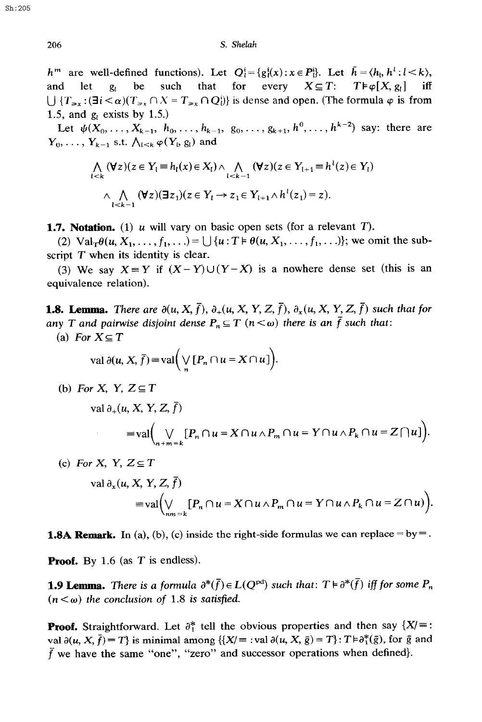$h^m$  are well-defined functions). Let  $Q_i^i = \{g_i^i(x) : x \in P_i^i\}$ . Let  $\bar{h} = \langle h_i, h^i : l \leq k \rangle$ , and let  $g_i$  be such that for every  $X \subseteq T$ :  $T \models \varphi[X, g_i]$  iff  $\bigcup \{T_{\geq x}: (\exists i \leq \alpha)(T_{\geq x} \cap X = T_{\geq x} \cap Q_i^i)\}$  is dense and open. (The formula  $\varphi$  is from 1.5, and  $g_i$  exists by 1.5.)

Let  $\psi(X_0,\ldots,X_{k-1}, h_0,\ldots,h_{k-1}, g_0,\ldots,g_{k+1},h^0,\ldots,h^{k-2})$  say: there are  $Y_0, \ldots, Y_{k-1}$  s.t.  $\bigwedge_{l \leq k} \varphi(Y_l, g_l)$  and

$$
\bigwedge_{l \leq k} (\forall z)(z \in Y_l \equiv h_l(x) \in X_l) \land \bigwedge_{l \leq k-1} (\forall z)(z \in Y_{l+1} \equiv h^l(z) \in Y_l)
$$
  

$$
\land \bigwedge_{l \leq k-1} (\forall z)(\exists z_1)(z \in Y_l \rightarrow z_1 \in Y_{l+1} \land h^l(z_1) = z).
$$

**1.7. Notation.** (1)  $\mu$  will vary on basic open sets (for a relevant *T*).

(2)  $\text{Val}_{T}\theta(u, X_1,\ldots, f_1,\ldots) = \bigcup \{u : T \models \theta(u, X_1,\ldots, f_1,\ldots)\};$  we omit the subscript *T* when its identity is clear.

(3) We say  $X \equiv Y$  if  $(X - Y) \cup (Y - X)$  is a nowhere dense set (this is an equivalence relation).

**1.8. Lemma.** There are  $\partial(u, X, \bar{f}), \partial_+(u, X, Y, Z, \bar{f}), \partial_x(u, X, Y, Z, \bar{f})$  such that for *any T and pairwise disjoint dense*  $P_n \subseteq T$   $(n < \omega)$  there is an  $\bar{f}$  such that:

(a) *For*  $X \subseteq T$ 

$$
\operatorname{val} \partial(u, X, \overline{f}) = \operatorname{val}\left(\bigvee_n [P_n \cap u = X \cap u]\right).
$$

(b) *For X*, *Y*,  $Z \subseteq T$ 

$$
\operatorname{val} \partial_+(u, X, Y, Z, f)
$$
  
=
$$
\operatorname{val} \Big( \bigvee_{n+m=k} [P_n \cap u = X \cap u \wedge P_m \cap u = Y \cap u \wedge P_k \cap u = Z \cap u] \Big).
$$

(c) *For X, Y, Z* $\subseteq$ *T* val  $\partial_x(u, X, Y, Z, \bar{f})$ <br>= val $\left(\bigvee_{m=1}^{\infty} [P_m \cap u = X \cap u \wedge P_m \cap u = Y \cap u \wedge P_k \cap u = Z \cap u)\right)$ .

**1.8A Remark.** In (a), (b), (c) inside the right-side formulas we can replace =  $by =$ .

**Proof.** By 1.6 (as T is endless).

**1.9 Lemma.** There is a formula  $\partial^*(\bar{f}) \in L(Q^{pd})$  such that:  $T \models \partial^*(\bar{f})$  iff for some  $P_n$  $(n < \omega)$  the conclusion of 1.8 is satisfied.

**Proof.** Straightforward. Let  $\partial_1^*$  tell the obvious properties and then say  $\{X \} =$ : val  $\partial(u, X, \bar{f}) = T$  is minimal among  $\{X/\equiv : \text{val }\partial(u, X, \bar{g}) = T\}$ :  $T \models \partial_1^*(\bar{g})$ , for  $\bar{g}$  and  $\bar{f}$  we have the same "one", "zero" and successor operations when defined}.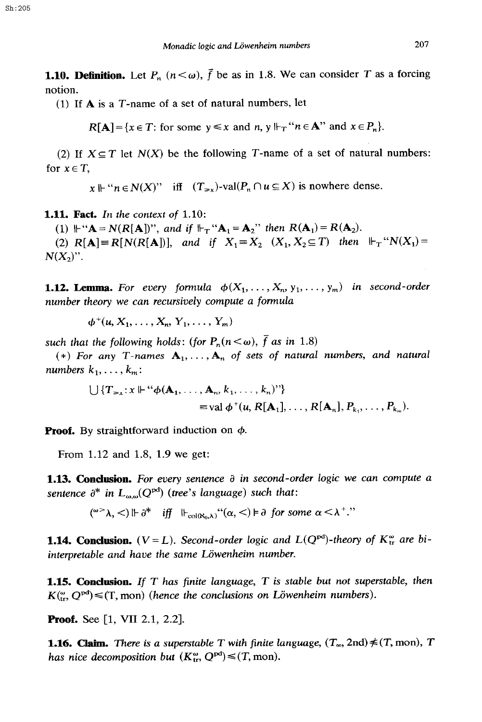**1.10. Definition.** Let  $P_n$   $(n < \omega)$ ,  $\vec{f}$  be as in 1.8. We can consider T as a forcing **notion.** 

**(1) If A is a T-name of a set of natural numbers, let** 

 $R[A] = \{x \in T: \text{ for some } y \leq x \text{ and } n, y \Vdash_T "n \in A" \text{ and } x \in P_n\}.$ 

(2) If  $X \subseteq T$  let  $N(X)$  be the following T-name of a set of natural numbers: for  $x \in T$ ,

 $x \Vdash "n \in N(X)"$  iff  $(T_{\geq x})$ -val $(P_n \cap u \subseteq X)$  is nowhere dense.

**1.11. Fact.** In the context of 1.10

(1)  $\mathbf{H}^{\cdot\cdot\cdot}\mathbf{A} = N(R[\mathbf{A}])^{\cdot\cdot\cdot}$ , and if  $\mathbf{H}_\mathrm{T}^{\cdot\cdot\cdot}\mathbf{A}_1 = \mathbf{A}_2^{\cdot\cdot\cdot}$  then  $R(\mathbf{A}_1) = R(\mathbf{A}_2)$ .

(2)  $R[A] = R[N(R[A])]$ , and if  $X_1 = X_2$   $(X_1, X_2 \subseteq T)$  then  $\Vdash_{T} N(X_1) =$  $N(X_2)$ ".

**1.12. Lemma.** For every formula  $\phi(X_1, \ldots, X_n, y_1, \ldots, y_m)$  in second-order *number theory we can recursively compute a formula* 

 $\phi^+(u, X_1, \ldots, X_n, Y_1, \ldots, Y_m)$ 

such that the following holds: (for  $P_n(n < \omega)$ ,  $\bar{f}$  as in 1.8)

(\*) For any T-names  $A_1, \ldots, A_n$  of sets of natural numbers, and natural numbers  $k_1, \ldots, k_m$ :

$$
\bigcup \{T_{\geq x}: x \Vdash ``\phi(\mathbf{A}_1, \ldots, \mathbf{A}_n, k_1, \ldots, k_n)"\}
$$
  
= val  $\phi^+(u, R[\mathbf{A}_1], \ldots, R[\mathbf{A}_n], P_{k_1}, \ldots, P_{k_m}).$ 

**Proof.** By straightforward induction on φ.

**From 1.12 and 1.8, 1.9 we get:** 

**1.13. Conclusion.** *For every sentence a in second-order logic we can compute a sentence*  $\partial^*$  *in*  $L_{\alpha,\omega}(Q^{pd})$  (*tree's language*) *such that:* 

 $({}^{\omega}A, \leq)$  ||-  $\partial^*$  *iff*  $\|H_{col(x_0,A)}(G, \leq)$  ||-  $\partial$  *for some*  $\alpha \leq \lambda^+$ *."* 

**1.14. Conclusion.**  $(V = L)$ . Second-order logic and  $L(Q^{pd})$ -theory of  $K_{tr}^{\omega}$  are bi*interpretable and have the same Liiwenheim number.* 

**1.15. Conclusion.** *If T* has finite language, *T* is stable but not superstable, then  $K_{\text{tr}}^{(\omega)}, Q^{\text{pd}})$   $\leq$  (T, mon) (hence the conclusions on Löwenheim numbers).

**Proof.** See [1, VII 2.1, 2.2].

**1.16. Claim.** There is a superstable T with finite language,  $(T_\infty, 2nd) \neq (T, \text{mon})$ , T *has nice decomposition but*  $(K_{tr}^{\omega}, Q^{pd}) \leq (T, \text{mon}).$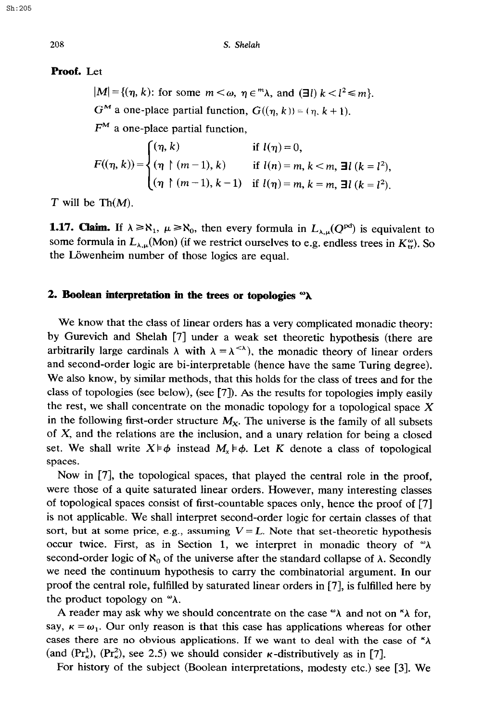#### Proof. Let

 $|M| = \{(\eta, k):$  for some  $m < \omega, \eta \in \mathbb{R}^n$ , and  $(\exists l)$   $k < l^2 \le m\}$ .  $G^M$  a one-place partial function,  $G((\eta, k)) = (\eta, k + 1)$ .  $F^M$  a one-place partial function,

$$
F((\eta, k)) = \begin{cases} (\eta, k) & \text{if } l(\eta) = 0, \\ (\eta \restriction (m-1), k) & \text{if } l(n) = m, k < m, \exists l \ (k = l^2), \\ (\eta \restriction (m-1), k-1) & \text{if } l(\eta) = m, k = m, \exists l \ (k = l^2). \end{cases}
$$

*T* will be Th $(M)$ .

**1.17. Claim.** If  $\lambda \ge \aleph_1$ ,  $\mu \ge \aleph_0$ , then every formula in  $L_{\lambda,\mu}(Q^{pd})$  is equivalent to some formula in  $L_{\lambda,\mu}(\text{Mon})$  (if we restrict ourselves to e.g. endless trees in  $K_{\text{tr}}^{\omega}$ ). So the Löwenheim number of those logics are equal.

### 2. Boolean interpretation in the trees or topologies  $\alpha \lambda$

We know that the class of linear orders has a very complicated monadic theory: by Gurevich and Shelah [7] under a weak set theoretic hypothesis (there are arbitrarily large cardinals  $\lambda$  with  $\lambda = \lambda^{<\lambda}$ , the monadic theory of linear orders and second-order logic are bi-interpretable (hence have the same Turing degree). We also know, by similar methods, that this holds for the class of trees and for the class of topologies (see below), (see [7]). As the results for topologies imply easily the rest, we shall concentrate on the monadic topology for a topological space  $X$ in the following first-order structure  $M_X$ . The universe is the family of all subsets of  $X$ , and the relations are the inclusion, and a unary relation for being a closed set. We shall write  $X \models \phi$  instead  $M_x \models \phi$ . Let K denote a class of topological spaces.

Now in [7], the topological spaces, that played the central role in the proof, were those of a quite saturated linear orders. However, many interesting classes of topological spaces consist of first-countable spaces only, hence the proof of [7] is not applicable. We shall interpret second-order logic for certain classes of that sort, but at some price, e.g., assuming  $V = L$ . Note that set-theoretic hypothesis occur twice. First, as in Section 1, we interpret in monadic theory of  $\alpha \lambda$ second-order logic of  $\aleph_0$  of the universe after the standard collapse of  $\lambda$ . Secondly we need the continuum hypothesis to carry the combinatorial argument. In our proof the central role, fulfilled by saturated linear orders in [7], is fulfilled here by the product topology on  $\alpha$ .

A reader may ask why we should concentrate on the case " $\lambda$  and not on " $\lambda$  for, say,  $\kappa = \omega_1$ . Our only reason is that this case has applications whereas for other cases there are no obvious applications. If we want to deal with the case of  $\kappa \lambda$ (and  $(Pr_{\kappa}^{1})$ ,  $(Pr_{\kappa}^{2})$ , see 2.5) we should consider  $\kappa$ -distributively as in [7].

For history of the subject (Boolean interpretations, modesty etc.) see [3]. We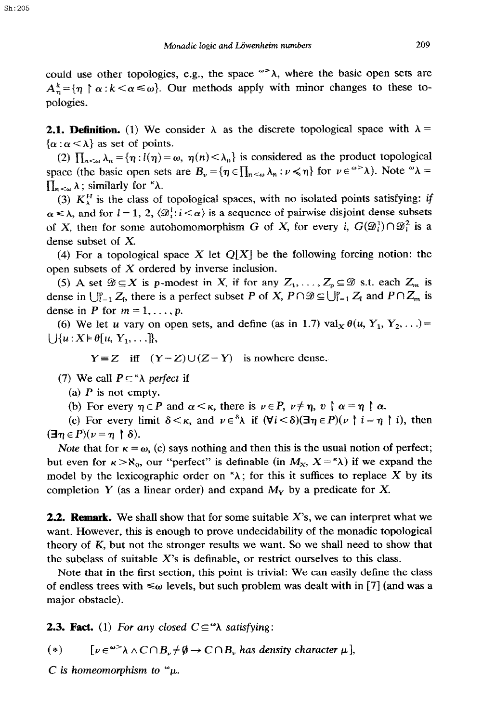Sh:205

could use other topologies, e.g., the space  $\infty$ , where the basic open sets are  $A_n^k = \{\eta \mid \alpha : k < \alpha \leq \omega\}$ . Our methods apply with minor changes to these topologies.

**2.1. Definition.** (1) We consider  $\lambda$  as the discrete topological space with  $\lambda =$  $\{\alpha : \alpha < \lambda\}$  as set of points.

(2)  $\prod_{n<\omega}\lambda_n = {\eta : l(\eta) = \omega, \eta(n) < \lambda_n}$  is considered as the product topological space (the basic open sets are  $B_{\nu} = {\eta \in \prod_{n < \omega} \lambda_n : \nu \leq \eta}$  for  $\nu \in \omega^{\infty} \lambda$ ). Note  $\omega \lambda =$  $\prod_{n<\omega}\lambda$ ; similarly for " $\lambda$ .

(3)  $K_{\lambda}^{H}$  is the class of topological spaces, with no isolated points satisfying: if  $\alpha \leq \lambda$ , and for  $l = 1, 2, \langle \mathcal{D}_i^1 : i \leq \alpha \rangle$  is a sequence of pairwise disjoint dense subsets of X, then for some autohomomorphism G of X, for every *i*,  $G(\mathcal{D}_i^1) \cap \mathcal{D}_i^2$  is a dense subset of X.

(4) For a topological space X let  $Q[X]$  be the following forcing notion: the open subsets of X ordered by inverse inclusion.

(5) A set  $\mathcal{D} \subseteq X$  is p-modest in X, if for any  $Z_1, \ldots, Z_p \subseteq \mathcal{D}$  s.t. each  $Z_m$  is dense in  $\bigcup_{l=1}^p Z_l$ , there is a perfect subset P of X,  $P \cap \mathcal{D} \subseteq \bigcup_{l=1}^p Z_l$  and  $P \cap Z_m$  is dense in P for  $m = 1, \ldots, p$ .

(6) We let u vary on open sets, and define (as in 1.7) val<sub>x</sub>  $\theta(u, Y_1, Y_2, ...)$  $\bigcup \{u: X \models \theta[u, Y_1, \ldots]\},\$ 

 $Y = Z$  iff  $(Y - Z) \cup (Z - Y)$  is nowhere dense.

(7) We call  $P \subseteq \alpha$  perfect if

(a)  $P$  is not empty.

(b) For every  $\eta \in P$  and  $\alpha < \kappa$ , there is  $\nu \in P$ ,  $\nu \neq \eta$ ,  $\nu \upharpoonright \alpha = \eta \upharpoonright \alpha$ .

(c) For every limit  $\delta < \kappa$ , and  $\nu \in \delta \lambda$  if  $(\forall i < \delta)(\exists \eta \in P)(\nu \restriction i = \eta \restriction i)$ , then  $(\exists \eta \in P)(\nu = \eta \restriction \delta).$ 

Note that for  $\kappa = \omega$ , (c) says nothing and then this is the usual notion of perfect; but even for  $\kappa > \aleph_0$ , our "perfect" is definable (in  $M_x$ ,  $X = \kappa \lambda$ ) if we expand the model by the lexicographic order on  $\lambda$ ; for this it suffices to replace X by its completion Y (as a linear order) and expand  $M_Y$  by a predicate for X.

2.2. **Remark.** We shall show that for some suitable X's, we can interpret what we want. However, this is enough to prove undecidability of the monadic topological theory of K, but not the stronger results we want. So we shall need to show that the subclass of suitable  $X$ 's is definable, or restrict ourselves to this class.

Note that in the first section, this point is trivial: We can easily define the class of endless trees with  $\leq \omega$  levels, but such problem was dealt with in [7] (and was a major obstacle).

**2.3. Fact.** (1) For any closed  $C \subseteq \mathcal{A}$  satisfying:

(\*)  $[v \in \infty] \wedge C \cap B_v \neq \emptyset \rightarrow C \cap B_v$ , has density character  $\mu$ ,

*C* is homeomorphism to  $\alpha$ .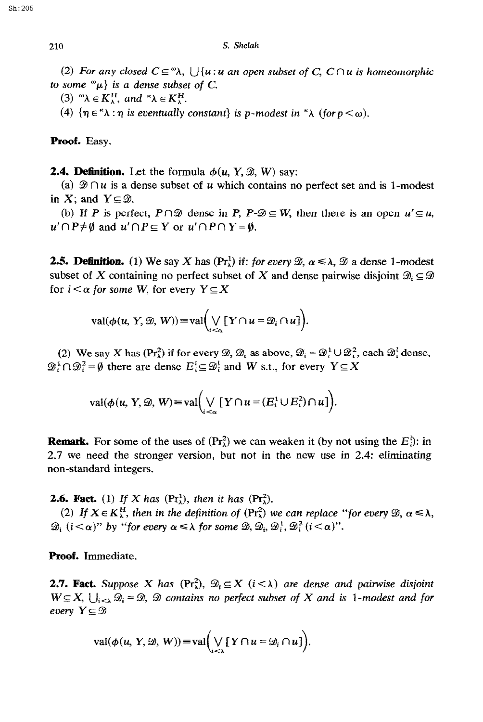(2) For any closed  $C \subseteq \mathcal{A}$ ,  $\bigcup \{u : u \text{ an open subset of } C, C \cap u \text{ is homeomorphic}$ *to some*  $^{\omega}\mu$ *} is a dense subset of C.* 

(3)  $\mathbf{A} \in K_{\lambda}^H$ , and  $\mathbf{A} \in K_{\lambda}^H$ .

(4)  $\{\eta \in \Lambda : \eta \text{ is eventually constant}\}\$ is p-modest in  $\Lambda$  (for  $p < \omega$ ).

Proof. Easy.

**2.4. Definition.** Let the formula  $\phi(u, Y, \mathcal{D}, W)$  say:

(a)  $\mathcal{D} \cap u$  is a dense subset of u which contains no perfect set and is 1-modest in X; and  $Y \subseteq \mathcal{D}$ .

(b) If P is perfect,  $P \cap \mathcal{D}$  dense in P,  $P \neg \mathcal{D} \subseteq W$ , then there is an open  $u' \subseteq u$ ,  $u' \cap P \neq \emptyset$  and  $u' \cap P \subseteq Y$  or  $u' \cap P \cap Y = \emptyset$ .

**2.5. Definition.** (1) We say X has  $(\Pr_{\lambda}^{1})$  if: *for every*  $\mathcal{D}, \alpha \leq \lambda, \mathcal{D}$  a dense 1-modest subset of X containing no perfect subset of X and dense pairwise disjoint  $\mathcal{D}_i \subseteq \mathcal{D}$ for  $i < \alpha$  for some W, for every  $Y \subseteq X$ 

$$
\mathrm{val}(\phi(u, Y, \mathcal{D}, W)) = \mathrm{val}\bigg(\bigvee_{i < \alpha} [Y \cap u = \mathcal{D}_i \cap u]\bigg).
$$

(2) We say X has  $(\Pr_{\lambda}^2)$  if for every  $\mathcal{D}, \mathcal{D}_i$  as above,  $\mathcal{D}_i = \mathcal{D}_i^1 \cup \mathcal{D}_i^2$ , each  $\mathcal{D}_i^1$  dense,  $\mathfrak{D}_i^1 \cap \mathfrak{D}_i^2 = \emptyset$  there are dense  $E_i^1 \subseteq \mathfrak{D}_i^1$  and W s.t., for every  $Y \subseteq X$ 

$$
\operatorname{val}(\phi(u, Y, \mathcal{D}, W) \equiv \operatorname{val}\left(\bigvee_{i < \alpha} \left[ Y \cap u = (E_i^1 \cup E_i^2) \cap u \right]\right).
$$

**Remark.** For some of the uses of  $(\Pr_{\lambda}^{2})$  we can weaken it (by not using the  $E_{\lambda}^{1}$ ): in 2.7 we need the stronger version, but not in the new use in 2.4: eliminating non-standard integers.

**2.6. Fact.** (1) *If X has* ( $Pr_{\lambda}^{1}$ ), *then it has* ( $Pr_{\lambda}^{2}$ ).

*(2) If*  $X \in K_{\lambda}^H$ , then in the definition of  $(\Pr_{\lambda}^2)$  we can replace "for every  $\mathcal{D}, \alpha \leq \lambda$ ,  $\mathfrak{D}_i$   $(i < \alpha)$ " by "for every  $\alpha \leq \lambda$  for some  $\mathfrak{D}, \mathfrak{D}_i, \mathfrak{D}_i^1, \mathfrak{D}_i^2$   $(i < \alpha)$ ".

Proof. Immediate.

**2.7. Fact.** Suppose X has  $(\Pr_1^2)$ ,  $\mathcal{D}_i \subseteq X$   $(i < \lambda)$  are dense and pairwise disjoint  $W \subseteq X$ ,  $\bigcup_{i \leq \lambda} \mathcal{D}_i = \mathcal{D}$ ,  $\mathcal D$  contains no perfect subset of X and is 1-modest and for *every*  $Y \subseteq \mathcal{D}$ 

$$
\mathrm{val}(\phi(u, Y, \mathcal{D}, W)) \equiv \mathrm{val}\bigg(\bigvee_{i < \lambda} [Y \cap u = \mathcal{D}_i \cap u]\bigg).
$$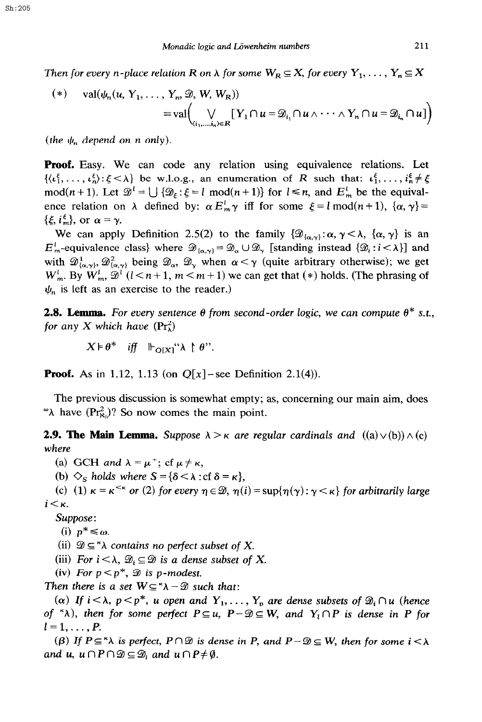Then for every *n*-place relation *R* on  $\lambda$  for some  $W_R \subseteq X$ , for every  $Y_1, \ldots, Y_n \subseteq X$ 

$$
(*) \quad \text{val}(\psi_n(u, Y_1, \dots, Y_n, \mathcal{D}, W, W_R))
$$
  
= val $\left(\bigvee_{(i_1, \dots, i_n) \in R} [Y_1 \cap u = \mathcal{D}_{i_1} \cap u \wedge \dots \wedge Y_n \cap u = \mathcal{D}_{i_n} \cap u] \right)$ 

(*the*  $\psi_n$  *depend on n only*).

**Proof.** Easy. We can code any relation using equivalence relations. Let  $\{\langle \iota_1^{\xi}, \ldots, \iota_n^{\xi} \rangle : \xi \leq \lambda \}$  be w.l.o.g., an enumeration of *R* such that:  $\iota_1^{\xi}, \ldots, \iota_n^{\xi} \neq \xi$ mod( $n + 1$ ). Let  $\mathcal{D}^l = \bigcup \{ \mathcal{D}_k : \xi = l \text{ mod}(n + 1) \}$  for  $l \leq n$ , and  $E_m^l$  be the equivalence relation on  $\lambda$  defined by:  $\alpha E_m^{\dagger} \gamma$  iff for some  $\xi = l \mod(n+1)$ ,  $\{\alpha, \gamma\} =$  $\{\xi, i_m^{\xi}\}\text{, or } \alpha = \gamma.$ 

We can apply Definition 2.5(2) to the family  $\{\mathcal{D}_{\{\alpha,\gamma\}}:\alpha,\gamma<\lambda,\ \{\alpha,\gamma\}\}\)$  is an  $E_m^l$ -equivalence class} where  $\mathcal{D}_{\{\alpha,\gamma\}} = \mathcal{D}_{\alpha} \cup \mathcal{D}_{\gamma}$  [standing instead  $\{\mathcal{D}_i : i < \lambda\}$ ] and with  $\mathscr{D}^1_{\{\alpha,\gamma\}}$ ,  $\mathscr{D}^2_{\{\alpha,\gamma\}}$  being  $\mathscr{D}_{\alpha}$ ,  $\mathscr{D}_{\gamma}$  when  $\alpha < \gamma$  (quite arbitrary otherwise); we get  $W_m^l$ . By  $W_m^l$ ,  $\mathcal{D}^l$  ( $l < n+1$ ,  $m < m+1$ ) we can get that (\*) holds. (The phrasing of  $\psi_n$  is left as an exercise to the reader.)

**2.8. Lemma.** For every sentence  $\theta$  from second-order logic, we can compute  $\theta^*$  s.t., *for any X which have*  $(\Pr_{\lambda}^2)$ 

 $X \models \theta^*$  *iff*  $\mathbb{F}_{\mathbf{O}[X]}``\lambda \upharpoonright \theta"$ .

**Proof.** As in 1.12, 1.13 (on  $Q[x]$  – see Definition 2.1(4)).

The previous discussion is somewhat empty; as, concerning our main aim, does " $\lambda$  have (Pr<sub>8</sub>)? So now comes the main point.

**2.9. The Main Lemma.** Suppose  $\lambda > \kappa$  are regular cardinals and  $((a) \vee (b)) \wedge (c)$ *where* 

(a) GCH *and*  $\lambda = \mu^+$ ; cf  $\mu \neq \kappa$ ,

(b)  $\Diamond_s$  *holds where*  $S = {\delta < \lambda : cf \delta = \kappa}$ ,

(c) (1)  $\kappa = \kappa^{<\kappa}$  or (2) for every  $\eta \in \mathcal{D}$ ,  $\eta(i) = \sup{\{\eta(\gamma) : \gamma < \kappa\}}$  for arbitrarily large  $i<\kappa$ .

Suppose :

(i)  $p^* \leq \omega$ .

(ii)  $\mathcal{D} \subseteq \mathcal{A}$  contains no perfect subset of X.

(iii) *For*  $i < \lambda$ *,*  $\mathcal{D}_i \subseteq \mathcal{D}$  *is a dense subset of X.* 

(iv) *For*  $p < p^*$ ,  $\mathcal{D}$  is *p*-modest.

*Then there is a set*  $W \subseteq \Lambda - \mathcal{D}$  *such that:* 

(a) If  $i<\lambda$ ,  $p, *u* open *and*  $Y_1, \ldots, Y_p$  *are dense subsets of*  $\mathcal{D}_i \cap u$  (hence$ of  ${}^{\kappa}\lambda$ ), then for some perfect  $P \subseteq u$ ,  $P - \mathcal{D} \subseteq W$ , and  $Y_i \cap P$  is dense in *P* for  $l=1,\ldots,P$ .

( $\beta$ ) *If*  $P \subseteq \Lambda$  *is perfect,*  $P \cap \mathcal{D}$  *is dense in* P, and  $P - \mathcal{D} \subseteq W$ , then for some  $i < \lambda$ and u,  $u \cap P \cap \mathcal{D} \subseteq \mathcal{D}_i$  and  $u \cap P \neq \emptyset$ .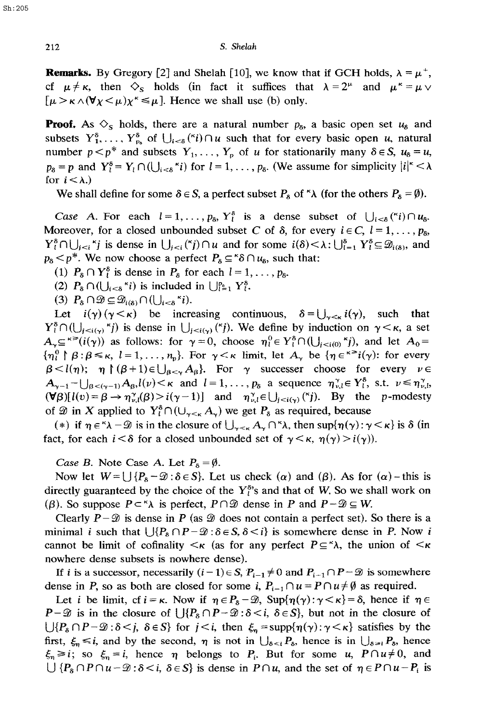**Remarks.** By Gregory [2] and Shelah [10], we know that if GCH holds,  $\lambda = \mu^+$ , cf  $\mu \neq \kappa$ , then  $\Diamond$ <sub>s</sub> holds (in fact it suffices that  $\lambda = 2^{\mu}$  and  $\mu^* = \mu \vee$  $[\mu > \kappa \wedge (\forall \chi < \mu) \chi^k \leq \mu]$ . Hence we shall use (b) only.

**Proof.** As  $\Diamond$ <sub>S</sub> holds, there are a natural number  $p_a$ , a basic open set  $u_a$  and subsets  $Y_1^{\delta}$ ,...,  $Y_{p_n}^{\delta}$  of  $\bigcup_{i<\delta} ({}^k i) \cap u$  such that for every basic open u, natural number  $p < p^*$  and subsets  $Y_1, \ldots, Y_p$  of u for stationarily many  $\delta \in S$ ,  $u_{\delta} = u$ ,  $p_8 = p$  and  $Y_l^8 = Y_l \cap (\bigcup_{i \leq 8}^k i)$  for  $l = 1, \ldots, p_8$ . (We assume for simplicity  $|i|^\kappa < \lambda$ for  $i < \lambda$ .)

We shall define for some  $\delta \in S$ , a perfect subset  $P_{\delta}$  of  $\delta \wedge$  (for the others  $P_{\delta} = \emptyset$ ).

Case A. For each  $l = 1, \ldots, p_{\delta}, Y_{l}^{\delta}$  is a dense subset of  $\bigcup_{i \leq \delta} ({}^{\kappa}i) \cap u_{\delta}$ . Moreover, for a closed unbounded subset C of  $\delta$ , for every  $i \in C$ ,  $l = 1, \ldots, p_{\delta}$ ,  $Y_i^{\delta} \cap \bigcup_{i \leq i} f_i$  is dense in  $\bigcup_{i \leq i} (f_i) \cap u$  and for some  $i(\delta) \leq \lambda : \bigcup_{i=1}^{\delta} Y_i^{\delta} \subseteq \mathcal{D}_{i(\delta)}$ , and  $p_8 < p^*$ . We now choose a perfect  $P_8 \subseteq {}^{\kappa} \delta \cap u_8$ , such that:

(1)  $P_8 \cap Y_l^8$  is dense in  $P_8$  for each  $l = 1, \ldots, p_8$ .

(2)  $P_8 \cap (\bigcup_{i \leq \delta} \kappa_i)$  is included in  $\bigcup_{i=1}^{p_6} Y_i^{\delta}$ .

(3)  $P_8 \cap \mathcal{D} \subseteq \mathcal{D}_{i(8)} \cap (\bigcup_{i \leq 8} \kappa_i).$ 

Let  $i(\gamma)(\gamma < \kappa)$  be increasing continuous,  $\delta = \bigcup_{\gamma < \kappa} i(\gamma)$ , such that  $Y_i^{\delta} \cap (\bigcup_{i \leq i(\gamma)}^{\kappa} j)$  is dense in  $\bigcup_{i \leq i(\gamma)}^{\kappa} \binom{\kappa}{i}$ . We define by induction on  $\gamma \leq \kappa$ , a set  $A_{\gamma} \subseteq \text{Ker}(i(\gamma))$  as follows: for  $\gamma=0$ , choose  $\eta_i^0 \in Y_i^{\delta} \cap (\bigcup_{j, and let  $A_0 =$$  $\{\eta_l^0 \upharpoonright \beta : \beta \leq \kappa, \ l = 1, \ldots, n_p\}$ . For  $\gamma < \kappa$  limit, let  $A_\gamma$  be  $\{\eta \in \kappa^{\gg} i(\gamma) : \text{ for every }$  $\beta < l(\eta)$ ;  $\eta \upharpoonright (\beta+1) \in \bigcup_{\beta < \gamma} A_{\beta}$ . For  $\gamma$  successer choose for every  $\nu \in$  $A_{\gamma-1}$  -  $\bigcup_{\beta<(\gamma-1)} A_{\beta}$ , $l(\nu)<\kappa$  and  $l=1,\ldots,p_{\delta}$  a sequence  $\eta_{\nu,l}^{\gamma} \in Y_{l}^{\delta}$ , s.t.  $\nu \leq \eta_{\nu,l}^{\gamma}$  $(\forall \beta)[l(v) = \beta \rightarrow \eta_{v,l}^{\gamma}(\beta) > i(\gamma - 1)]$  and  $\eta_{v,l}^{\gamma} \in \bigcup_{i \leq i(\gamma)} {(\gamma)}$ . By the p-modesty of  $\mathscr D$  in X applied to  $Y_i^{\delta} \cap (\cup_{\gamma \leq \kappa} A_{\gamma})$  we get  $P_{\delta}$  as required, because

(\*) if  $\eta \in \Lambda - \mathcal{D}$  is in the closure of  $\bigcup_{\gamma \leq \kappa} A_{\gamma} \cap \Lambda$ , then sup $\{\eta(\gamma) : \gamma \leq \kappa\}$  is  $\delta$  (in fact, for each  $i < \delta$  for a closed unbounded set of  $\gamma < \kappa$ ,  $\eta(\gamma) > i(\gamma)$ .

*Case B.* Note Case A. Let  $P_6 = \emptyset$ .

Now let  $W = \bigcup \{P_8 - \mathcal{D} : \delta \in S\}$ . Let us check  $(\alpha)$  and  $(\beta)$ . As for  $(\alpha)$  - this is directly guaranteed by the choice of the  $Y_1^{s}$ 's and that of W. So we shall work on ( $\beta$ ). So suppose  $P \subset \alpha$  is perfect,  $P \cap \mathcal{D}$  dense in *P* and  $P - \mathcal{D} \subseteq W$ .

Clearly  $P - \mathcal{D}$  is dense in *P* (as  $\mathcal{D}$  does not contain a perfect set). So there is a minimal *i* such that  $\bigcup \{P_{\delta} \cap P - \mathcal{D} : \delta \in S, \delta \leq i\}$  is somewhere dense in *P*. Now *i* cannot be limit of cofinality  $\lt_K$  (as for any perfect  $P \subseteq \land$ ), the union of  $\lt_K$ nowhere dense subsets is nowhere dense).

If i is a successor, necessarily  $(i-1) \in S$ ,  $P_{i-1} \neq 0$  and  $P_{i-1} \cap P - \mathcal{D}$  is somewhere dense in P, so as both are closed for some i,  $P_{i-1} \cap u = P \cap u \neq \emptyset$  as required.

Let *i* be limit, cf  $i = \kappa$ . Now if  $\eta \in P_8 - \mathcal{D}$ , Sup $\{\eta(\gamma): \gamma < \kappa\} = \delta$ , hence if  $\eta \in$  $P-\mathcal{D}$  is in the closure of  $\bigcup \{P_{\delta} \cap P-\mathcal{D} : \delta < i, \delta \in S\}$ , but not in the closure of  $\bigcup \{P_{\delta} \cap P-\mathcal{D}: \delta \leq j, \delta \in S\}$  for  $j \leq i$ , then  $\xi_n = \text{supp}\{\eta(\gamma): \gamma \leq \kappa\}$  satisfies by the first,  $\xi_n \leq i$ , and by the second,  $\eta$  is not in  $\bigcup_{\delta \leq i} P_{\delta}$ , hence is in  $\bigcup_{\delta \geq i} P_{\delta}$ , hence  $\xi_n \ge i$ ; so  $\xi_n = i$ , hence  $\eta$  belongs to  $P_i$ . But for some u,  $P \cap u \ne 0$ , and  $\bigcup \{P_{\delta} \cap P \cap u - \mathcal{D} : \delta \leq i, \delta \in S\}$  is dense in  $P \cap u$ , and the set of  $\eta \in P \cap u - P_i$  is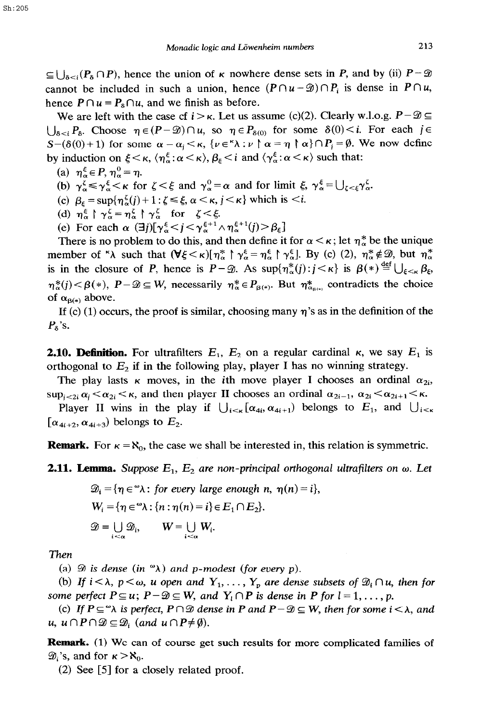$\subseteq \bigcup_{\delta \leq i} (P_{\delta} \cap P)$ , hence the union of *K* nowhere dense sets in *P*, and by (ii)  $P - \mathcal{D}$ cannot be included in such a union, hence  $(P \cap u - \mathcal{D}) \cap P_i$  is dense in  $P \cap u$ , hence  $P \cap u = P_8 \cap u$ , and we finish as before.

We are left with the case cf  $i > \kappa$ . Let us assume (c)(2). Clearly w.l.o.g.  $P - \mathcal{D} \subseteq$  $\bigcup_{\delta \leq i} P_{\delta}$ . Choose  $\eta \in (P - \mathcal{D}) \cap u$ , so  $\eta \in P_{\delta(0)}$  for some  $\delta(0) \leq i$ . For each  $j \in$  $S-(\delta(0)+1)$  for some  $\alpha=\alpha_i<\kappa$ ,  $\{\nu\in^{\kappa}\lambda:\nu\upharpoonright\alpha=\eta\upharpoonright\alpha\}\cap P_j=\emptyset$ . We now define by induction on  $\xi < \kappa$ ,  $\langle \eta_\alpha^{\xi} : \alpha < \kappa \rangle$ ,  $\beta_{\xi} < i$  and  $\langle \gamma_\alpha^{\xi} : \alpha < \kappa \rangle$  such that:

- (a)  $\eta_{\alpha}^{\xi} \in P$ ,  $\eta_{\alpha}^{0} = \eta$ .
- (b)  $\gamma_\alpha^{\xi} \le \gamma_\alpha^{\xi} < \kappa$  for  $\zeta < \xi$  and  $\gamma_\alpha^0 = \alpha$  and for limit  $\xi$ ,  $\gamma_\alpha^{\xi} = \bigcup_{\zeta < \xi} \gamma_\alpha^{\xi}$ .
- (c)  $\beta_{\epsilon} = \sup \{ \eta_{\alpha}^{\zeta}(j) + 1 : \zeta \leq \xi, \alpha < \kappa, j < \kappa \}$  which is  $\langle i, \zeta \rangle$
- (d)  $\eta_{\alpha}^{\xi} \upharpoonright \gamma_{\alpha}^{\zeta} = \eta_{\alpha}^{\zeta} \upharpoonright \gamma_{\alpha}^{\zeta}$  for  $\zeta < \xi$ .
- (e) For each  $\alpha$  ( $\exists j$ )[ $\gamma_{\alpha}^{\xi} < j < \gamma_{\alpha}^{\xi+1} \wedge \eta_{\alpha}^{\xi+1}(j) > \beta_{\xi}$ ]

There is no problem to do this, and then define it for  $\alpha < \kappa$ ; let  $\eta_{\alpha}^*$  be the unique member of " $\lambda$  such that  $(\forall \xi < \kappa) [\eta_{\alpha}^* \upharpoonright \gamma_{\alpha}^{\xi} = \eta_{\alpha}^{\xi} \upharpoonright \gamma_{\alpha}^{\xi}]$ . By (c) (2),  $\eta_{\alpha}^* \notin \mathcal{D}$ , but  $\eta_{\alpha}^*$ is in the closure of P, hence is  $P-\mathscr{D}$ . As  $\sup\{\eta^*_\alpha(j): j<\kappa\}$  is  $\beta(*) \stackrel{\text{def}}{=} \bigcup_{\xi<\kappa} \beta_\xi$ ,  $\eta_{\alpha}^*(j) < \beta(*)$ ,  $P - \mathcal{D} \subseteq W$ , necessarily  $\eta_{\alpha}^* \in P_{\beta(*)}$ . But  $\eta_{\alpha}^*$  contradicts the choice of  $\alpha_{\beta(*)}$  above.

If (c) (1) occurs, the proof is similar, choosing many  $\eta$ 's as in the definition of the *P,'s.* 

**2.10. Definition.** For ultrafilters  $E_1$ ,  $E_2$  on a regular cardinal  $\kappa$ , we say  $E_1$  is orthogonal to  $E_2$  if in the following play, player I has no winning strategy.

The play lasts  $\kappa$  moves, in the ith move player I chooses an ordinal  $\alpha_{2i}$ ,  $\sup_{i\leq 2i} \alpha_i \leq \alpha_{2i} \leq \kappa$ , and then player II chooses an ordinal  $\alpha_{2i-1}, \alpha_{2i} \leq \alpha_{2i+1} \leq \kappa$ .

Player II wins in the play if  $\bigcup_{i \leq \kappa} [\alpha_{4i}, \alpha_{4i+1}]$  belongs to  $E_1$ , and  $\bigcup_{i \leq \kappa}$  $[\alpha_{4i+2}, \alpha_{4i+3})$  belongs to  $E_2$ .

**Remark.** For  $\kappa = \aleph_0$ , the case we shall be interested in, this relation is symmetric.

**2.11. Lemma.** Suppose  $E_1$ ,  $E_2$  are non-principal orthogonal ultrafilters on  $\omega$ . Let

$$
\mathcal{D}_i = \{ \eta \in \mathcal{D} \times \colon \text{ for every large enough } n, \ \eta(n) = i \},
$$
\n
$$
W_i = \{ \eta \in \mathcal{D} \times \colon \{ n : \eta(n) = i \} \in E_1 \cap E_2 \}.
$$
\n
$$
\mathcal{D} = \bigcup_{i \leq \alpha} \mathcal{D}_i, \qquad W = \bigcup_{i \leq \alpha} W_i.
$$

*Then* 

(a)  $\mathcal D$  is dense (in  $\mathcal D$ ) and p-modest (for every p).

(b) If  $i < \lambda$ ,  $p < \omega$ , u open and  $Y_1, \ldots, Y_p$  are dense subsets of  $\mathcal{D}_i \cap u$ , then for *some perfect*  $P \subseteq u$ ;  $P - \mathcal{D} \subseteq W$ , and  $Y_i \cap P$  is dense in P for  $l = 1, \ldots, p$ .

*(c)* If  $P \subseteq \mathcal{A}$  is perfect,  $P \cap \mathcal{D}$  dense in P and  $P - \mathcal{D} \subseteq W$ , then for some  $i < \lambda$ , and  $u, u \cap P \cap \mathcal{D} \subseteq \mathcal{D}_i$  (and  $u \cap P \neq \emptyset$ ).

**Remark.** (1) We can of course get such results for more complicated families of  $\mathscr{D}_i$ 's, and for  $\kappa > \aleph_0$ .

*(2) See [5]* for a closely related proof.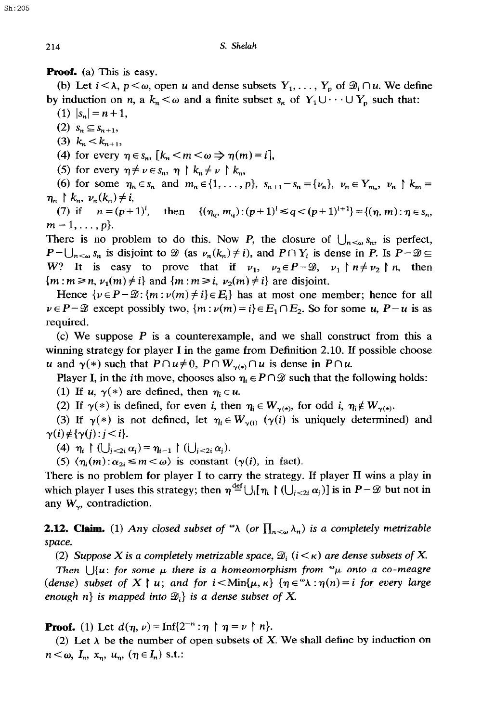**Proof.** (a) This is easy.

(b) Let  $i < \lambda$ ,  $p < \omega$ , open u and dense subsets  $Y_1, \ldots, Y_p$  of  $\mathcal{D}_i \cap u$ . We define by induction on *n*, a  $k_n < \omega$  and a finite subset  $s_n$  of  $Y_1 \cup \cdots \cup Y_p$  such that:

(1)  $|s_n|=n+1$ ,

 $(2)$   $S_n \subseteq S_{n+1}$ ,

(3)  $k_n < k_{n+1}$ ,

(4) for every  $\eta \in s_n$ ,  $[k_n < m < \omega \Rightarrow \eta(m)=i]$ ,

(5) for every  $\eta \neq \nu \in s_n$ ,  $\eta \restriction k_n \neq \nu \restriction k_n$ ,

(6) for some  $\eta_n \in s_n$  and  $m_n \in \{1, ..., p\}$ ,  $s_{n+1}-s_n = \{\nu_n\}$ ,  $\nu_n \in Y_{m_n}$ ,  $\nu_n \upharpoonright k_m =$  $\eta_n \restriction k_n, \nu_n(k_n) \neq i,$ 

(7) if  $n = (p+1)^l$ , then  $\{(n_a, m_a) : (p+1)^l \leq q < (p+1)^{l+1}\} = \{(n, m) : n \in s_m,$  $m = 1, \ldots, p$ .

There is no problem to do this. Now P, the closure of  $\bigcup_{n<\omega} s_n$ , is perfect,  $P-\bigcup_{n<\omega} s_n$  is disjoint to  $\mathscr D$  (as  $\nu_n(k_n) \neq i$ ), and  $P \cap Y_i$  is dense in *P*. Is  $P-\mathscr D \subseteq$ *W*? It is easy to prove that if  $v_1$ ,  $v_2 \in P - \mathcal{D}$ ,  $v_1 \upharpoonright n \neq v_2 \upharpoonright n$ , then  ${m : m \ge n, \nu_1(m) \ne i}$  and  ${m : m \ge i, \nu_2(m) \ne i}$  are disjoint.

Hence  $\{\nu \in P - \mathcal{D} : \{m : \nu(m) \neq i\} \in E_i\}$  has at most one member; hence for all  $\nu \in P - \mathcal{D}$  except possibly two,  $\{m : \nu(m) = i\} \in E_1 \cap E_2$ . So for some u,  $P - u$  is as required.

(c) We suppose *P* is a counterexample, and we shall construct from this a winning strategy for player I in the game from Definition 2.10. If possible choose u and  $\gamma(*)$  such that  $P \cap u \neq 0$ ,  $P \cap W_{\gamma(*)} \cap u$  is dense in  $P \cap u$ .

Player I, in the *i*th move, chooses also  $\eta_i \in P \cap \mathcal{D}$  such that the following holds:

(1) If u,  $\gamma(*)$  are defined, then  $\eta_i \in u$ .

(2) If  $\gamma(*)$  is defined, for even *i*, then  $\eta_i \in W_{\gamma(*)}$ , for odd *i*,  $\eta_i \notin W_{\gamma(*)}$ .

(3) If  $\gamma(*)$  is not defined, let  $\eta_i \in W_{\gamma(i)}$  ( $\gamma(i)$  is uniquely determined) and  $\gamma(i) \notin {\gamma(j) : j < i}.$ 

**(4)**  $\eta_i \upharpoonright (\bigcup_{j < 2i} \alpha_j) = \eta_{i-1} \upharpoonright (\bigcup_{j < 2i} \alpha_j).$ 

(5)  $\langle \eta_i(m) : \alpha_{2i} \leq m \lt \omega \rangle$  is constant ( $\gamma(i)$ , in fact).

There is no problem for player I to carry the strategy. If player II wins a play in which player I uses this strategy; then  $\eta \stackrel{\text{def}}{=} \bigcup_i {\eta_i \restriction (\bigcup_{j < 2i} \alpha_j)}$  is in  $P - \mathcal{D}$  but not in any  $W_{\gamma}$ , contradiction.

**2.12. Claim.** (1) Any closed subset of " $\lambda$  (or  $\prod_{n<\omega}\lambda_n$ ) is a completely metrizable *space.* 

(2) Suppose X is a completely metrizable space,  $\mathcal{D}_i$  ( $i < \kappa$ ) are *dense subsets of* X.

*Then*  $\bigcup \{u: \text{ for some } \mu \text{ there is a homeomorphism from  $\omega_{\mu}$  onto a co-meagre$ *(dense) subset of X | u; and for*  $i < \text{Min}\{\mu, \kappa\}$  *{* $\eta \in \mathcal{A} : \eta(n) = i$  *for every large enough n} is mapped into*  $\mathcal{D}_i$  *is a dense subset of X.* 

**Proof.** (1) Let  $d(\eta, \nu) = \text{Inf}\{2^{-n} : \eta \upharpoonright \eta = \nu \upharpoonright n\}.$ 

(2) Let  $\lambda$  be the number of open subsets of X. We shall define by induction on  $n < \omega$ ,  $I_n$ ,  $x_n$ ,  $u_n$ ,  $(\eta \in I_n)$  s.t.:

Sh:205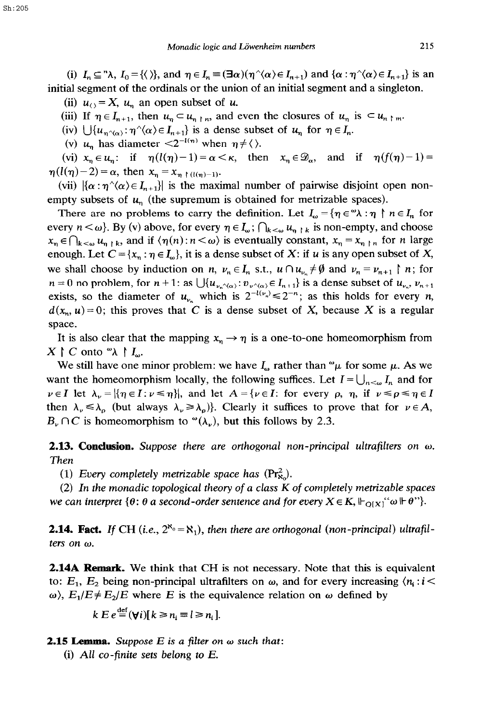(i)  $I_n \subseteq \gamma \lambda$ ,  $I_0 = \{ \langle \rangle \}$ , and  $\eta \in I_n = (\exists \alpha)(\eta' \langle \alpha \rangle \in I_{n+1})$  and  $\{ \alpha : \eta' \langle \alpha \rangle \in I_{n+1} \}$  is an initial segment of the ordinals or the union of an initial segment and a singleton.

(ii)  $u_{\odot} = X$ ,  $u_n$  an open subset of u.

(iii) If  $\eta \in I_{n+1}$ , then  $u_n \subset u_{n+m}$ , and even the closures of  $u_n$  is  $\subset u_{n+m}$ .

(iv)  $\bigcup \{u_{n\gamma(\alpha)} : \eta^{\gamma}(\alpha) \in I_{n+1}\}\$ is a dense subset of  $u_n$  for  $\eta \in I_n$ .

(v)  $u_n$  has diameter  $\langle 2^{-l(n)} \text{ when } \eta \neq \langle \rangle$ .

(vi)  $x_n \in u_n$ : if  $\eta(l(\eta)-1) = \alpha < \kappa$ , then  $x_n \in \mathcal{D}_\alpha$ , and if  $\eta(f(\eta)-1) =$  $\eta(l(\eta)-2) = \alpha$ , then  $x_n = x_{n} \upharpoonright (l(\eta)-1)$ .

(vii)  $\{\alpha : \eta^{\wedge}(\alpha) \in I_{n+1}\}\$ is the maximal number of pairwise disjoint open nonempty subsets of  $u_n$  (the supremum is obtained for metrizable spaces).

There are no problems to carry the definition. Let  $I_{\omega} = \{ \eta \in \mathcal{A} : \eta \upharpoonright n \in I_n \text{ for } i \in I_n \}$ every  $n < \omega$ . By (v) above, for every  $\eta \in I_{\omega}$ ;  $\bigcap_{k < \omega} u_{\eta + k}$  is non-empty, and choose  $x_n \in \bigcap_{k \leq \omega} u_{n+k}$ , and if  $\langle \eta(n) : n \leq \omega \rangle$  is eventually constant,  $x_n = x_{n+k}$  for n large enough. Let  $C = \{x_n : \eta \in I_\omega\}$ , it is a dense subset of X: if u is any open subset of X, we shall choose by induction on n,  $v_n \in I_n$  s.t.,  $u \cap u_{v_n} \neq \emptyset$  and  $v_n = v_{n+1} \upharpoonright n$ ; for  $n = 0$  no problem, for  $n + 1$ : as  $\bigcup \{u_{\nu_n \wedge \langle \alpha \rangle} : v_{\nu \wedge \langle \alpha \rangle} \in I_{n+1}\}$  is a dense subset of  $u_{\nu_n}, v_{n+1}\big)$ exists, so the diameter of  $u_{\nu_n}$  which is  $2^{-l(\nu_n)} \leq 2^{-n}$ ; as this holds for every *n*,  $d(x_n, u) = 0$ ; this proves that C is a dense subset of X, because X is a regular space.

It is also clear that the mapping  $x_n \to \eta$  is a one-to-one homeomorphism from  $X \upharpoonright C$  onto " $\lambda \upharpoonright I_{\omega}$ .

We still have one minor problem: we have  $I_{\omega}$  rather than  $\omega_{\mu}$  for some  $\mu$ . As we want the homeomorphism locally, the following suffices. Let  $I = \bigcup_{n \leq \omega} I_n$  and for  $\nu \in I$  let  $\lambda_{\nu} = |\{\eta \in I : \nu \leq \eta\}|$ , and let  $A = \{\nu \in I: \text{ for every } \rho, \eta, \text{ if } \nu \leq \rho \leq \eta \in I\}$ then  $\lambda_{\nu} \leq \lambda_{\rho}$  (but always  $\lambda_{\nu} \geq \lambda_{\rho}$ ). Clearly it suffices to prove that for  $\nu \in A$ ,  $B_\nu \cap C$  is homeomorphism to  $\alpha(\lambda_\nu)$ , but this follows by 2.3.

**2.13. Conclusion.** *Suppose there are orthogonal non-principal ultrafilters on ω. Then* 

(1) *Every completely metrizable space has*  $(\Pr_{\mathbf{x}}^2)$ .

*(2) In the monadic topological theory of a class K of completely metizable* spaces we can interpret  $\{\theta: \theta \text{ a second-order sentence and for every } X \in K, \|\cdot_{\mathcal{O}(X)} \circ \theta \in \theta\}$ .

**2.14. Fact.** If CH (i.e.,  $2^{\aleph_0} = \aleph_1$ ), then there are orthogonal (non-principal) ultrafil*ters on w.* 

2.14A **Remark.** We think that CH is not necessary. Note that this is equivalent to:  $E_1$ ,  $E_2$  being non-principal ultrafilters on  $\omega$ , and for every increasing  $\langle n_i : i \rangle$  $\omega$ ),  $E_1/E \neq E_2/E$  where *E* is the equivalence relation on  $\omega$  defined by

$$
k E e^{\det}(\forall i)[k \geq n_i \equiv l \geq n_i].
$$

**2.15 Lemma.** Suppose  $E$  is a filter on  $\omega$  such that:

(i) All co-finite sets *belong to E.*